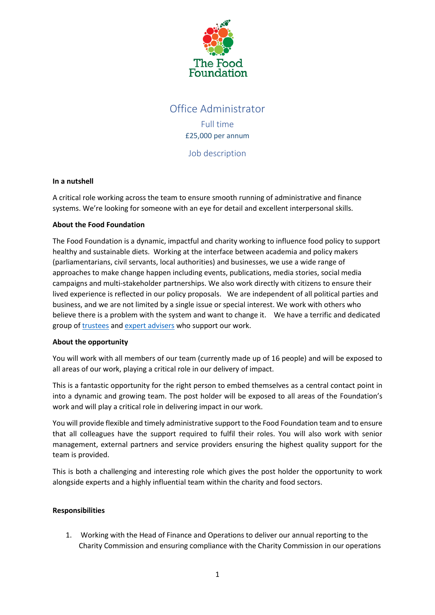

# Office Administrator Full time

£25,000 per annum

Job description

## **In a nutshell**

A critical role working across the team to ensure smooth running of administrative and finance systems. We're looking for someone with an eye for detail and excellent interpersonal skills.

## **About the Food Foundation**

The Food Foundation is a dynamic, impactful and charity working to influence food policy to support healthy and sustainable diets. Working at the interface between academia and policy makers (parliamentarians, civil servants, local authorities) and businesses, we use a wide range of approaches to make change happen including events, publications, media stories, social media campaigns and multi-stakeholder partnerships. We also work directly with citizens to ensure their lived experience is reflected in our policy proposals. We are independent of all political parties and business, and we are not limited by a single issue or special interest. We work with others who believe there is a problem with the system and want to change it. We have a terrific and dedicated group o[f trustees](https://foodfoundation.org.uk/about/#trustees) and [expert advisers](https://foodfoundation.org.uk/about/#expert-advisors) who support our work.

#### **About the opportunity**

You will work with all members of our team (currently made up of 16 people) and will be exposed to all areas of our work, playing a critical role in our delivery of impact.

This is a fantastic opportunity for the right person to embed themselves as a central contact point in into a dynamic and growing team. The post holder will be exposed to all areas of the Foundation's work and will play a critical role in delivering impact in our work.

You will provide flexible and timely administrative support to the Food Foundation team and to ensure that all colleagues have the support required to fulfil their roles. You will also work with senior management, external partners and service providers ensuring the highest quality support for the team is provided.

This is both a challenging and interesting role which gives the post holder the opportunity to work alongside experts and a highly influential team within the charity and food sectors.

# **Responsibilities**

1. Working with the Head of Finance and Operations to deliver our annual reporting to the Charity Commission and ensuring compliance with the Charity Commission in our operations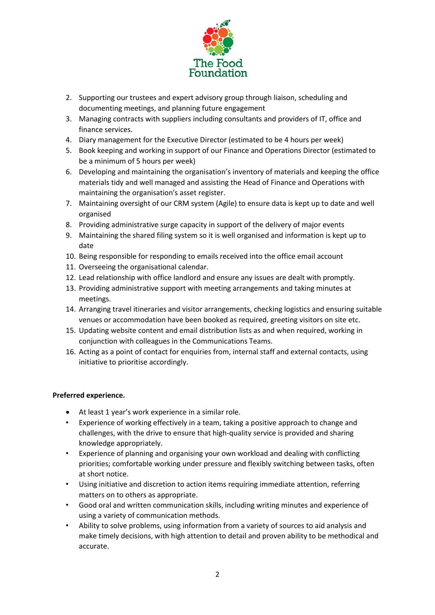

- 2. Supporting our trustees and expert advisory group through liaison, scheduling and documenting meetings, and planning future engagement
- 3. Managing contracts with suppliers including consultants and providers of IT, office and finance services.
- 4. Diary management for the Executive Director (estimated to be 4 hours per week)
- 5. Book keeping and working in support of our Finance and Operations Director (estimated to be a minimum of 5 hours per week)
- 6. Developing and maintaining the organisation's inventory of materials and keeping the office materials tidy and well managed and assisting the Head of Finance and Operations with maintaining the organisation's asset register.
- 7. Maintaining oversight of our CRM system (Agile) to ensure data is kept up to date and well organised
- 8. Providing administrative surge capacity in support of the delivery of major events
- 9. Maintaining the shared filing system so it is well organised and information is kept up to date
- 10. Being responsible for responding to emails received into the office email account
- 11. Overseeing the organisational calendar.
- 12. Lead relationship with office landlord and ensure any issues are dealt with promptly.
- 13. Providing administrative support with meeting arrangements and taking minutes at meetings.
- 14. Arranging travel itineraries and visitor arrangements, checking logistics and ensuring suitable venues or accommodation have been booked as required, greeting visitors on site etc.
- 15. Updating website content and email distribution lists as and when required, working in conjunction with colleagues in the Communications Teams.
- 16. Acting as a point of contact for enquiries from, internal staff and external contacts, using initiative to prioritise accordingly.

# **Preferred experience.**

- At least 1 year's work experience in a similar role.
- Experience of working effectively in a team, taking a positive approach to change and challenges, with the drive to ensure that high-quality service is provided and sharing knowledge appropriately.
- Experience of planning and organising your own workload and dealing with conflicting priorities; comfortable working under pressure and flexibly switching between tasks, often at short notice.
- Using initiative and discretion to action items requiring immediate attention, referring matters on to others as appropriate.
- Good oral and written communication skills, including writing minutes and experience of using a variety of communication methods.
- Ability to solve problems, using information from a variety of sources to aid analysis and make timely decisions, with high attention to detail and proven ability to be methodical and accurate.